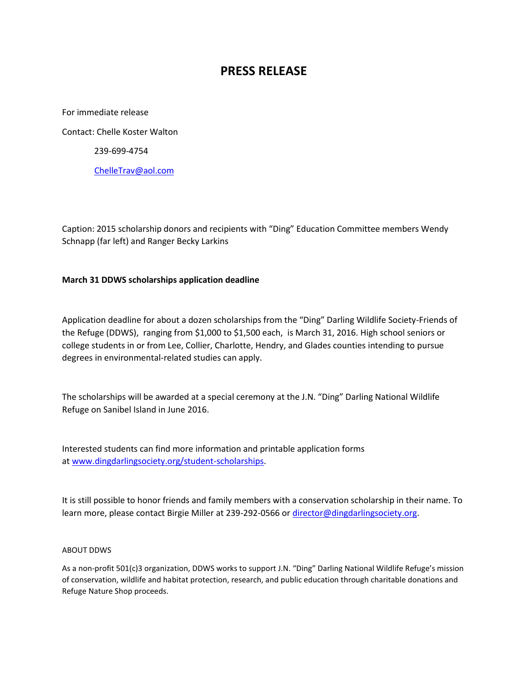## **PRESS RELEASE**

For immediate release Contact: Chelle Koster Walton 239-699-4754 [ChelleTrav@aol.com](mailto:ChelleTrav@aol.com)

Caption: 2015 scholarship donors and recipients with "Ding" Education Committee members Wendy Schnapp (far left) and Ranger Becky Larkins

## **March 31 DDWS scholarships application deadline**

Application deadline for about a dozen scholarships from the "Ding" Darling Wildlife Society-Friends of the Refuge (DDWS), ranging from \$1,000 to \$1,500 each, is March 31, 2016. High school seniors or college students in or from Lee, Collier, Charlotte, Hendry, and Glades counties intending to pursue degrees in environmental-related studies can apply.

The scholarships will be awarded at a special ceremony at the J.N. "Ding" Darling National Wildlife Refuge on Sanibel Island in June 2016.

Interested students can find more information and printable application forms at [www.dingdarlingsociety.org/student-scholarships.](http://www.dingdarlingsociety.org/student-scholarships)

It is still possible to honor friends and family members with a conservation scholarship in their name. To learn more, please contact Birgie Miller at 239-292-0566 or [director@dingdarlingsociety.org.](mailto:director@dingdarlingsociety.org)

## ABOUT DDWS

As a non-profit 501(c)3 organization, DDWS works to support J.N. "Ding" Darling National Wildlife Refuge's mission of conservation, wildlife and habitat protection, research, and public education through charitable donations and Refuge Nature Shop proceeds.